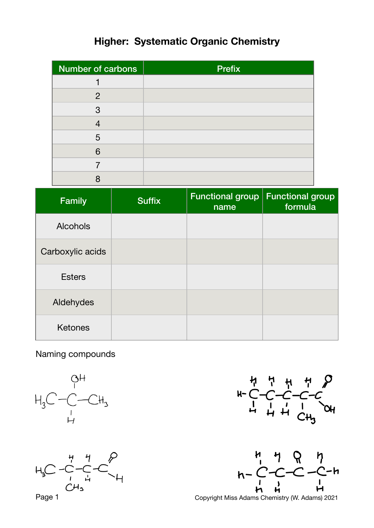## **Higher: Systematic Organic Chemistry**

| Number of carbons | <b>Prefix</b> |
|-------------------|---------------|
|                   |               |
| 2                 |               |
| 3                 |               |
|                   |               |
| 5                 |               |
| 6                 |               |
|                   |               |
| $\Omega$          |               |

| <b>Family</b>    | <b>Suffix</b> | <b>Functional group</b><br>name | <b>Functional group</b><br>formula |
|------------------|---------------|---------------------------------|------------------------------------|
| <b>Alcohols</b>  |               |                                 |                                    |
| Carboxylic acids |               |                                 |                                    |
| <b>Esters</b>    |               |                                 |                                    |
| Aldehydes        |               |                                 |                                    |
| <b>Ketones</b>   |               |                                 |                                    |

Naming compounds







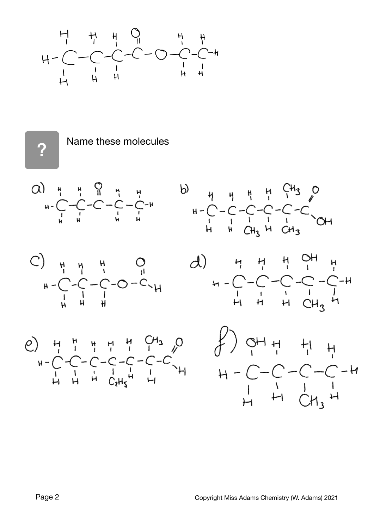

?

Name these molecules











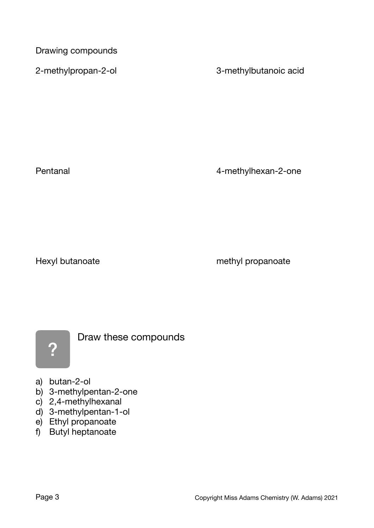Drawing compounds

2-methylpropan-2-ol and the state of 3-methylbutanoic acid

Pentanal **Pentanal CONFINGER PENDITELY** *PENDITELY A-methylhexan-2-one* 

Hexyl butanoate *Mexyl* butanoate *Mexyl* butanoate *Mexyl* butanoate *Mexyl* butanoate



Draw these compounds

- a) butan-2-ol
- b) 3-methylpentan-2-one
- c) 2,4-methylhexanal
- d) 3-methylpentan-1-ol
- e) Ethyl propanoate
- f) Butyl heptanoate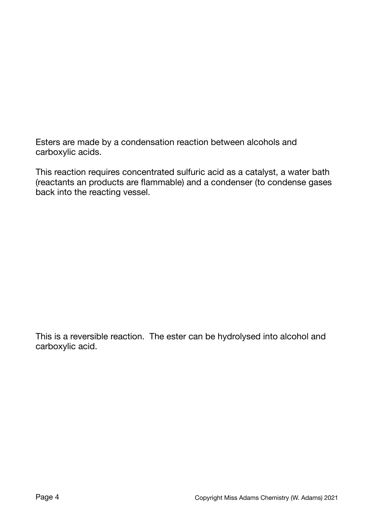Esters are made by a condensation reaction between alcohols and carboxylic acids.

This reaction requires concentrated sulfuric acid as a catalyst, a water bath (reactants an products are flammable) and a condenser (to condense gases back into the reacting vessel.

This is a reversible reaction. The ester can be hydrolysed into alcohol and carboxylic acid.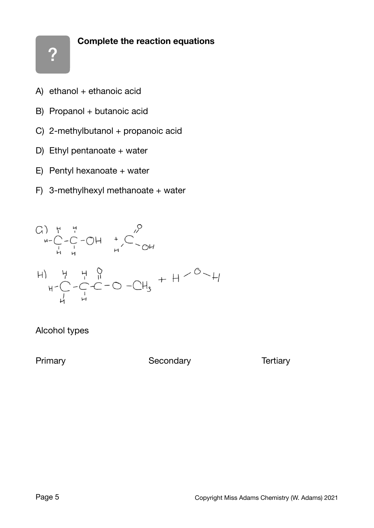## **Complete the reaction equations**

- A) ethanol  $+$  ethanoic acid
- B) Propanol + butanoic acid
- C) 2-methylbutanol + propanoic acid
- D) Ethyl pentanoate  $+$  water
- E) Pentyl hexanoate + water
- F) 3-methylhexyl methanoate + water



## Alcohol types

Primary **Condary Condary Condary Condary Condary Condary Condary Condary**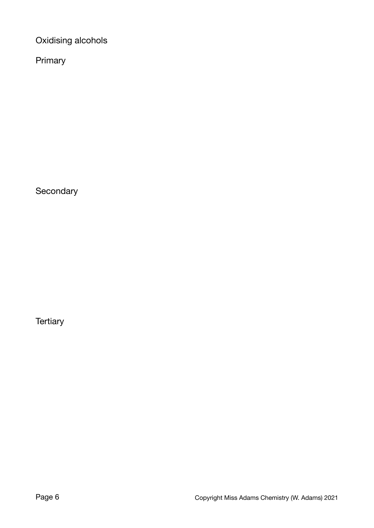Oxidising alcohols

Primary

**Secondary** 

**Tertiary**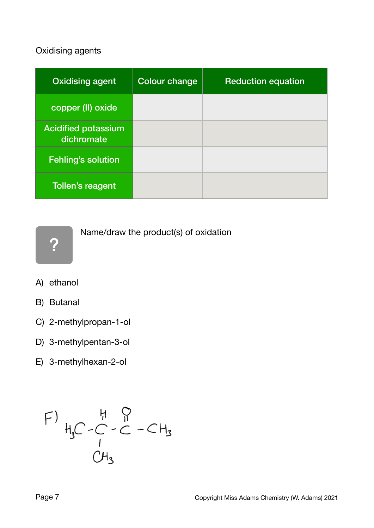## Oxidising agents

| <b>Oxidising agent</b>                   | <b>Colour change</b> | <b>Reduction equation</b> |
|------------------------------------------|----------------------|---------------------------|
| copper (II) oxide                        |                      |                           |
| <b>Acidified potassium</b><br>dichromate |                      |                           |
| <b>Fehling's solution</b>                |                      |                           |
| Tollen's reagent                         |                      |                           |

?

Name/draw the product(s) of oxidation

- A) ethanol
- B) Butanal
- C) 2-methylpropan-1-ol
- D) 3-methylpentan-3-ol
- E) 3-methylhexan-2-ol

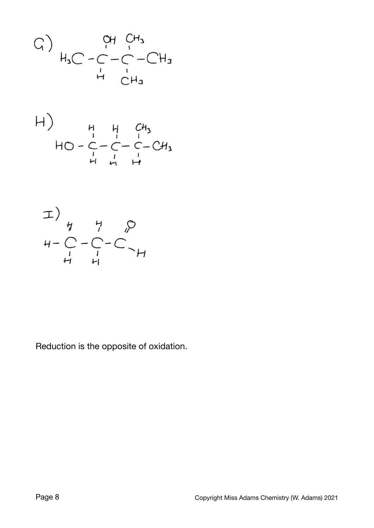G) 
$$
\begin{array}{ccc} & & \text{OH} & C_{H_3} \\ H_3C - C - C - C & -CH_3 \\ & H & C_{H_3} \end{array}
$$





Reduction is the opposite of oxidation.